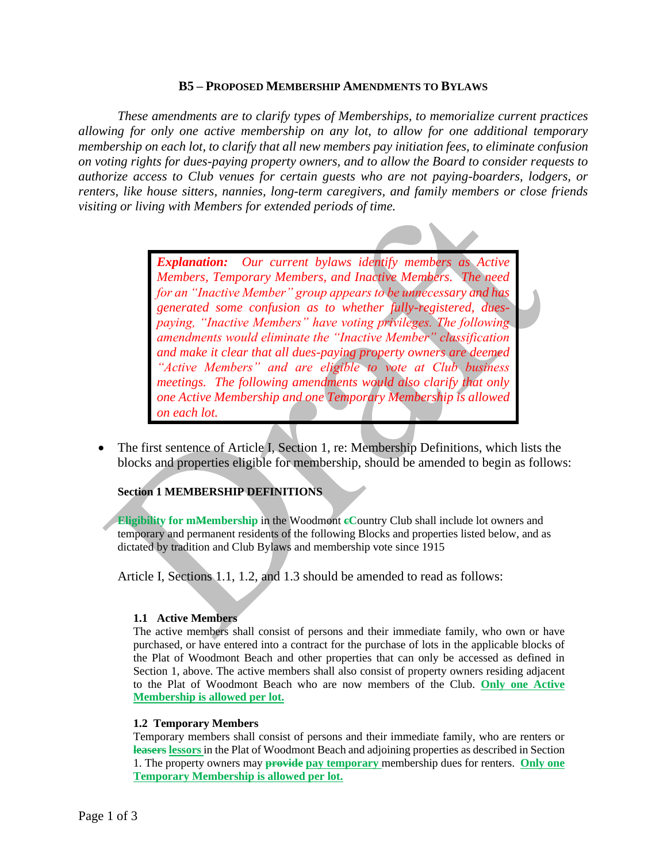## **B5 – PROPOSED MEMBERSHIP AMENDMENTS TO BYLAWS**

*These amendments are to clarify types of Memberships, to memorialize current practices allowing for only one active membership on any lot, to allow for one additional temporary membership on each lot, to clarify that all new members pay initiation fees, to eliminate confusion on voting rights for dues-paying property owners, and to allow the Board to consider requests to authorize access to Club venues for certain guests who are not paying-boarders, lodgers, or renters, like house sitters, nannies, long-term caregivers, and family members or close friends visiting or living with Members for extended periods of time.* 

> *Explanation: Our current bylaws identify members as Active Members, Temporary Members, and Inactive Members. The need for an "Inactive Member" group appears to be unnecessary and has generated some confusion as to whether fully-registered, duespaying, "Inactive Members" have voting privileges. The following amendments would eliminate the "Inactive Member" classification and make it clear that all dues-paying property owners are deemed "Active Members" and are eligible to vote at Club business meetings. The following amendments would also clarify that only one Active Membership and one Temporary Membership is allowed on each lot.*

• The first sentence of Article I, Section 1, re: Membership Definitions, which lists the blocks and properties eligible for membership, should be amended to begin as follows:

## **Section 1 MEMBERSHIP DEFINITIONS**

**Eligibility for mMembership** in the Woodmont **cC**ountry Club shall include lot owners and temporary and permanent residents of the following Blocks and properties listed below, and as dictated by tradition and Club Bylaws and membership vote since 1915

Article I, Sections 1.1, 1.2, and 1.3 should be amended to read as follows:

### **1.1 Active Members**

The active members shall consist of persons and their immediate family, who own or have purchased, or have entered into a contract for the purchase of lots in the applicable blocks of the Plat of Woodmont Beach and other properties that can only be accessed as defined in Section 1, above. The active members shall also consist of property owners residing adjacent to the Plat of Woodmont Beach who are now members of the Club. **Only one Active Membership is allowed per lot.**

### **1.2 Temporary Members**

Temporary members shall consist of persons and their immediate family, who are renters or **leasers lessors** in the Plat of Woodmont Beach and adjoining properties as described in Section 1. The property owners may **provide pay temporary** membership dues for renters. **Only one Temporary Membership is allowed per lot.**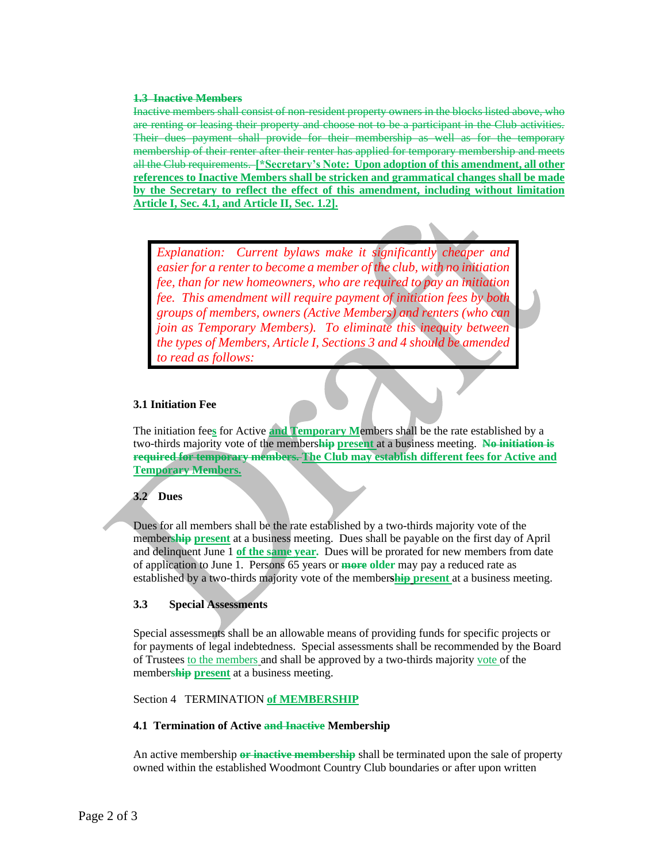#### **1.3 Inactive Members**

Inactive members shall consist of non-resident property owners in the blocks listed above, who are renting or leasing their property and choose not to be a participant in the Club activities. Their dues payment shall provide for their membership as well as for the temporary membership of their renter after their renter has applied for temporary membership and meets all the Club requirements. **[\*Secretary's Note: Upon adoption of this amendment, all other references to Inactive Members shall be stricken and grammatical changes shall be made by the Secretary to reflect the effect of this amendment, including without limitation Article I, Sec. 4.1, and Article II, Sec. 1.2].**

*Explanation: Current bylaws make it significantly cheaper and easier for a renter to become a member of the club, with no initiation fee, than for new homeowners, who are required to pay an initiation fee. This amendment will require payment of initiation fees by both groups of members, owners (Active Members) and renters (who can join as Temporary Members). To eliminate this inequity between the types of Members, Article I, Sections 3 and 4 should be amended to read as follows:*

## **3.1 Initiation Fee**

The initiation fee**s** for Active **and Temporary M**embers shall be the rate established by a two-thirds majority vote of the members**hip present** at a business meeting. **No initiation is required for temporary members. The Club may establish different fees for Active and Temporary Members.**

# **3.2 Dues**

Dues for all members shall be the rate established by a two-thirds majority vote of the member**ship present** at a business meeting. Dues shall be payable on the first day of April and delinquent June 1 **of the same year.** Dues will be prorated for new members from date of application to June 1. Persons 65 years or **more older** may pay a reduced rate as established by a two-thirds majority vote of the member**ship present** at a business meeting.

## **3.3 Special Assessments**

Special assessments shall be an allowable means of providing funds for specific projects or for payments of legal indebtedness. Special assessments shall be recommended by the Board of Trustees to the members and shall be approved by a two-thirds majority vote of the member**ship present** at a business meeting.

### Section 4 TERMINATION **of MEMBERSHIP**

### **4.1 Termination of Active and Inactive Membership**

An active membership **or inactive membership** shall be terminated upon the sale of property owned within the established Woodmont Country Club boundaries or after upon written